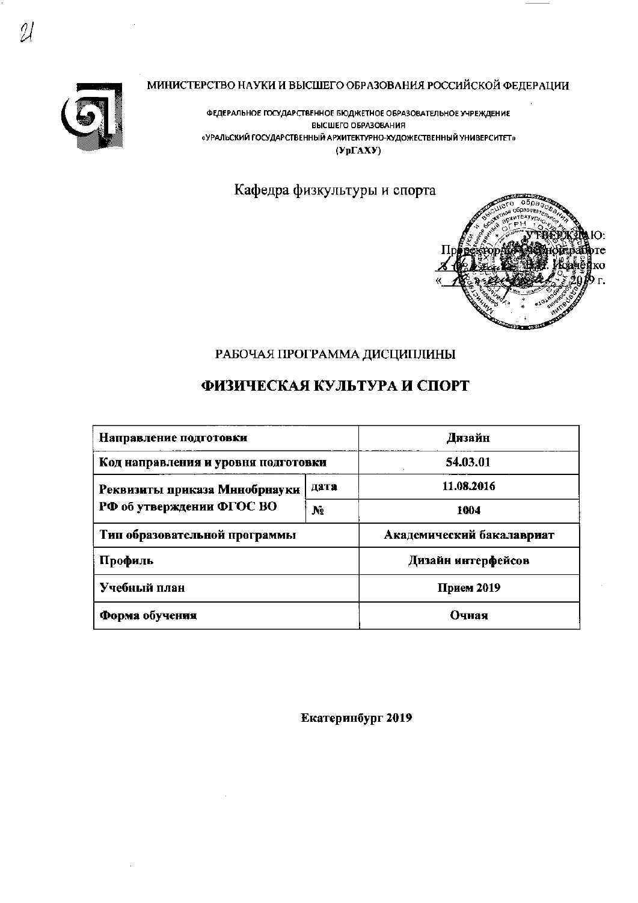

## МИНИСТЕРСТВО НАУКИ И ВЫСШЕГО ОБРАЗОВАНИЯ РОССИЙСКОЙ ФЕДЕРАЦИИ

ФЕДЕРАЛЬНОЕ ГОСУДАРСТВЕННОЕ БЮДЖЕТНОЕ ОБРАЗОВАТЕЛЬНОЕ УЧРЕЖДЕНИЕ ВЫСШЕГО ОБРАЗОВАНИЯ «УРАЛЬСКИЙ ГОСУДАРСТВЕННЫЙ АРХИТЕКТУРНО-ХУДОЖЕСТВЕННЫЙ УНИВЕРСИТЕТ»  $(Yp\Gamma A X Y)$ 

## Кафедра физкультуры и спорта



## РАБОЧАЯ ПРОГРАММА ДИСЦИПЛИНЫ

# ФИЗИЧЕСКАЯ КУЛЬТУРА И СПОРТ

| Направление подготовки              | Дизайн         |                           |  |  |
|-------------------------------------|----------------|---------------------------|--|--|
| Код направления и уровня подготовки |                | 54.03.01                  |  |  |
| Реквизиты приказа Мниобрнауки       | дата           | 11.08.2016                |  |  |
| РФ об утверждении ФГОС ВО           | N <sub>2</sub> | 1004                      |  |  |
| Тип образовательной программы       |                | Академический бакалавриат |  |  |
| Профиль                             |                | Дизайн интерфейсов        |  |  |
| Учебный план                        |                | Прием 2019                |  |  |
| Форма обучения                      |                | Очная                     |  |  |

Екатеринбург 2019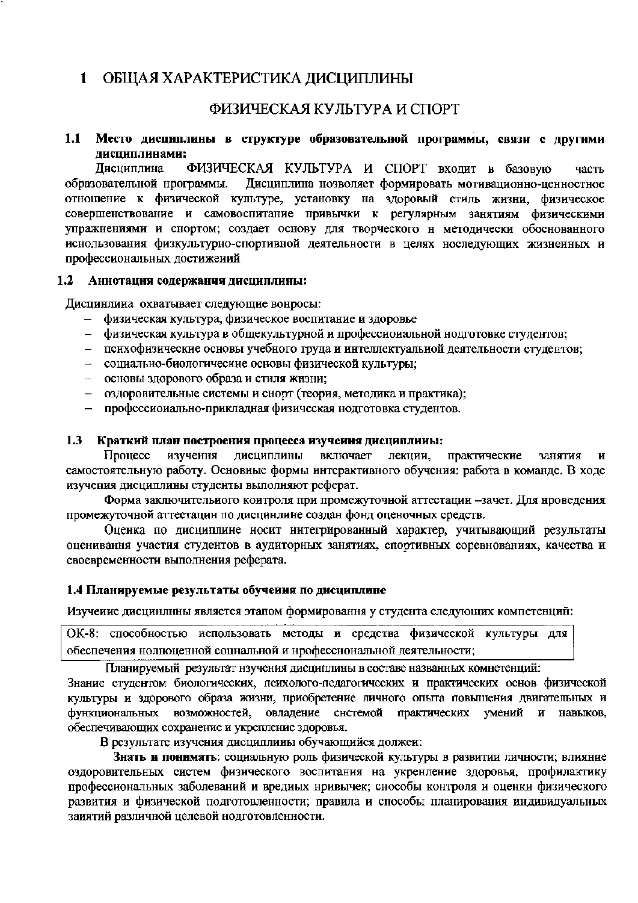#### $\blacksquare$ ОБЩАЯ ХАРАКТЕРИСТИКА ДИСЦИПЛИНЫ

## ФИЗИЧЕСКАЯ КУЛЬТУРА И СПОРТ

#### $1.1$ Место дисциплины в структуре образовательной программы, связи с другими дисциплинами:

ФИЗИЧЕСКАЯ КУЛЬТУРА И СПОРТ входит в базовую Лисциплина часть Дисциплина нозволяет формировать мотивационно-ценностное образовательной нрограммы. отношение к физической культуре, установку на здоровый стиль жизни, физическое совершенствование и самовоспитание привычки к регулярным занятиям физическими упражнениями и снортом; создает основу для творческого н методически обоснованного иснользования физкультурно-спортивной деятельности в целях носледующих жизнеиных и профессиональных достижений

#### $1.2$ Аннотация содержания дисциплины:

Дисцинлина охватывает следующие вонросы:

- физическая культура, физическое воспитание и здоровье
- физическая культура в общекультурной и профессиональной нодготовке студентов:
- психофизические основы учебного труда и интеллектуальной деятельности студентов;
- социально-биологические основы физической культуры;
- основы здорового образа и стиля жизни;
- оздоровительные системы и снорт (теория, методика и практика);  $\equiv$
- профессионально-прикладная физическая нодготовка студентов.

#### $1.3$ Краткий план построения процесса изучения дисциплины:

Процесс изучення дисциплины включает лекции, занятия практические  $\mathbf H$ самостоятельную работу. Основиые формы интерактивного обучения: работа в команде. В ходе изучения дисциплины студенты выполняют реферат.

Форма заключительиого коитроля при промежуточной аттестации -зачет. Для нроведения промежуточной аттестацин по дисцинлине создан фонд оценочных средств.

Оценка по дисциплине носит ннтегрированный характер, учитывающий результаты оценивання участия студентов в аудиторных занятиях, спортивных соревнованиях, качества и своевременности выполнения реферата.

## 1.4 Планируемые результаты обучения по дисциплине

Изучение дисцинлнны является этапом формировання у студента следующих компетенций:

ОК-8: способностью использовать методы и средства физической культуры для обеспечения нолноценной соцнальной и нрофесснональной деятельности;

Планируемый результат нзучения дисциплины в составе названных комнетенций:

Знание студентом биологических, психолого-педагогических и практических основ физической культуры и здорового образа жизни, нриобретение личного опыта повышения двигательных и функциональных возможностей, овладение системой практических умений  $\mathbf{H}$ навыков, обеспечивающих сохранение и укрепление здоровья.

В результате изучения дисциплины обучающийся должен:

Знать и понимать: социальную роль физической культуры в развитии личности; влияние оздоровительных систем физического воспитания на укренление здоровья, профилактику профессиональных заболеваний и вредиых нривычек; снособы контроля и оценки физического развития и физической подготовленности; правила и способы планирования индивидуальных заиятий различной целевой нодготовленности.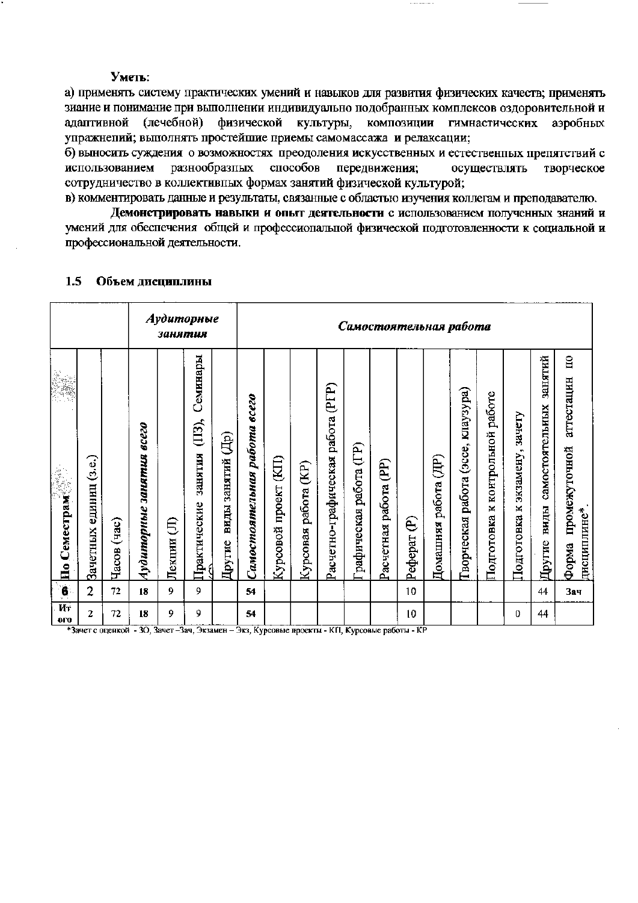#### Уметь:

а) применять систему практических умений и навыков для развития физических качеств; применять зиание и понимание при выполнении индивидуально подобранных комплексов оздоровительной и (лечебной) физической алаптивной культуры, композиции гимнастических аэробных упражнепий; выполнять простейшие приемы самомассажа и релаксации;

б) выносить суждения о возможностях преодоления искусственных и естественных препятствий с использованием разнообразных способов передвижения; осуществлять творческое сотрудничество в коллективных формах занятий физической культурой;

в) комментировать данные и результаты, связанные с областью изучения коллегам и преподавателю.

Демонстрировать навыки и опыт деятельности с использованием полученных знаний и умений для обеспечения общей и профессиопальной физической подготовленности к социальной и профессиональной деятельности.

|                                                  |                        |                         |                                    | занятия     | Аудиторные              |                               |                              | Самостоятельная работа     |                           |                             |                        |                                    |                        |                                         |                                |                                |                           |                                   |                                       |
|--------------------------------------------------|------------------------|-------------------------|------------------------------------|-------------|-------------------------|-------------------------------|------------------------------|----------------------------|---------------------------|-----------------------------|------------------------|------------------------------------|------------------------|-----------------------------------------|--------------------------------|--------------------------------|---------------------------|-----------------------------------|---------------------------------------|
| je.                                              |                        |                         |                                    |             | Семинары<br>$(III)$ ,   |                               |                              |                            |                           | (PTP)                       |                        |                                    |                        |                                         | kuay3ypa)                      | работе                         | зачету                    | занятий                           | $\overline{a}$<br>аттестацин          |
| $\mathcal{M}^{\mathcal{S}}$<br>—<br>По Семестрам | Зачетных единиц (з.е.) | $(\text{vac})$<br>Часов | <b>BCC20</b><br>Аудиторные занятия | €<br>Лекции | занятия<br>Практические | (中)<br>виды занятий<br>Другие | Самостоятельния работа всего | (KI)<br>проект<br>Курсовой | (E)<br>работа<br>Курсовая | Расчетно-графическая работа | рафическая работа (ГР) | $(\mathbb{P})$<br>Расчетная работа | Ê<br>Pedepar           | $(\overline{AB})$<br>работа<br>Домашняя | (acce,<br>работа<br>Гворческая | контрольной<br>×<br>Подготовка | экзамену,<br>Подготовка к | самостоятельных<br>виды<br>Другие | промежуточной<br>дисциплине*<br>Форма |
| 6                                                | $\overline{2}$         | 72                      | 18                                 | 9           | 9                       |                               | 54                           |                            |                           |                             |                        |                                    | 10                     |                                         |                                |                                |                           | 44                                | 3ач                                   |
| Ит<br><b>OLQ</b><br>$\overline{10}$              | 2                      | 72<br>$-36$             | 18<br>na n                         | 9.<br>n.,   | 9<br>$\sim$             |                               | 54<br>77.<br>$\sim$          |                            |                           | $1777 - 10$                 |                        |                                    | 10<br>$\overline{1/n}$ |                                         |                                |                                | 0                         | 44                                |                                       |

#### Объем дисциплины  $1.5$

\*Зачет с оценкой - 3О, Зачет –Зач, Экзамен – Экз, Курсовые проекты - КП, Курсовые работы - КР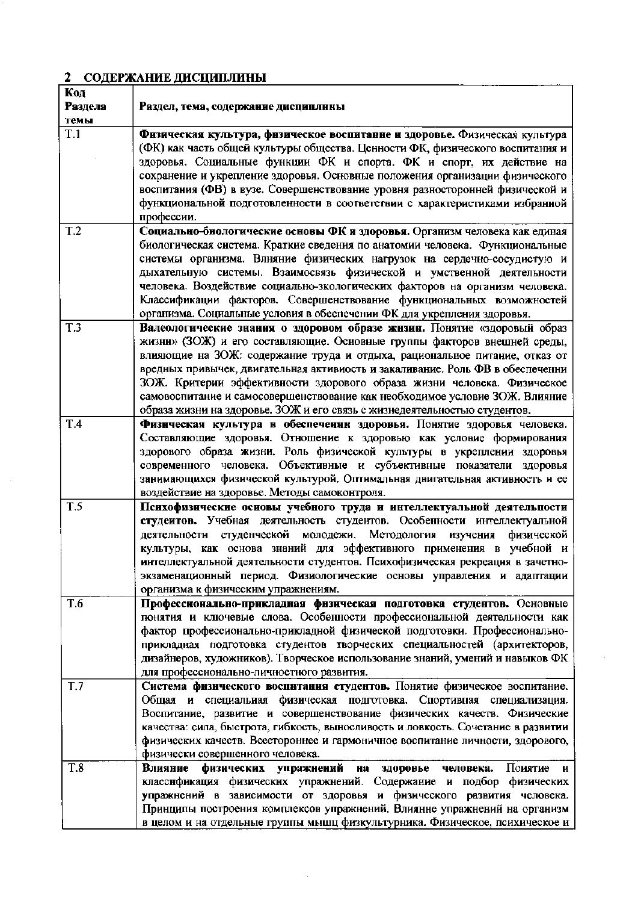# 2 СОДЕРЖАНИЕ ДИСЦИПЛИНЫ

 $\sim$ 

| Код             |                                                                                                                                                             |
|-----------------|-------------------------------------------------------------------------------------------------------------------------------------------------------------|
| Раздела         | Раздел, тема, содержание дисциплины                                                                                                                         |
| темы            |                                                                                                                                                             |
| T.1             | Физическая культура, физическое воспитание и здоровье. Физическая культура<br>(ФК) как часть общей культуры общества. Ценности ФК, физического воспитания и |
|                 | здоровья. Социальные функции ФК и спорта. ФК и спорт, их действие на                                                                                        |
|                 | сохранение и укрепление здоровья. Основные положения организации физического                                                                                |
|                 | воспитания (ФВ) в вузе. Совершенствование уровня разносторонней физической и                                                                                |
|                 | функциональной подготовленности в соответствии с характеристиками избранной                                                                                 |
|                 | профессии.                                                                                                                                                  |
| T <sub>.2</sub> | Социально-биологические основы ФК и здоровья. Организм человека как единая                                                                                  |
|                 | биологическая система. Краткие сведения по анатомии человека. Функциональные                                                                                |
|                 | системы организма. Влняние физических нагрузок на сердечно-сосудистую и                                                                                     |
|                 | дыхательную системы. Взаимосвязь физической и умственной деятельности                                                                                       |
|                 | человека. Воздействие социально-зкологических факторов на организм человека.                                                                                |
|                 | Классификации факторов. Совершенствование функциональных возможностей                                                                                       |
|                 | организма. Социальные условия в обеспечении ФК для укрепления здоровья.                                                                                     |
| T.3             | Валеологические знания о здоровом образе жизни. Понятие «здоровый образ                                                                                     |
|                 | жизни» (ЗОЖ) и его составляющие. Основные группы факторов внешней среды,                                                                                    |
|                 | влияющие на ЗОЖ: содержание труда и отдыха, рациональное питание, отказ от                                                                                  |
|                 | вредных привычек, двигательная активиость и закаливание. Роль ФВ в обеспеченни                                                                              |
|                 | ЗОЖ. Критерии эффективности здорового образа жизни человека. Физическое                                                                                     |
|                 | самовоспитание и самосовершенствование как необходимое условие ЗОЖ. Влияние                                                                                 |
|                 | образа жизни на здоровье. ЗОЖ и его связь с жизнедеятельностью студентов.                                                                                   |
| T.4             | Физическая культура в обеспечении здоровья. Понятие здоровья человека.                                                                                      |
|                 | Составляющие здоровья. Отношение к здоровью как условие формирования                                                                                        |
|                 | здорового образа жизни. Роль физической культуры в укреплении здоровья                                                                                      |
|                 | современного человека. Объективные и субъективные показатели здоровья                                                                                       |
|                 | занимающихся физической культурой. Оптимальная двигательная активность и ее                                                                                 |
|                 | воздействие на здоровье. Методы самоконтроля.                                                                                                               |
| T.5             | Психофизические основы учебного труда и интеллектуальной деятельпости                                                                                       |
|                 | студеитов. Учебная деятельность студентов. Особенности интеллектуальной                                                                                     |
|                 | деятельности студенческой молодежи. Методология<br>изучения физической                                                                                      |
|                 | культуры, как основа знаний для эффективного применения в учебной и                                                                                         |
|                 | интеллектуальной деятельности студентов. Психофизическая рекреация в зачетно-                                                                               |
|                 | экзаменационный период. Физиологические основы управления и адаптации                                                                                       |
|                 | организма к физическим упражнениям.                                                                                                                         |
| T.6             | Профессионально-прикладная физическая подготовка студентов. Основные                                                                                        |
|                 | понятия и ключевые слова. Особенности профессиональной деятельности как                                                                                     |
|                 | фактор профессионально-прикладной физической подготовки. Профессионально-                                                                                   |
|                 | прикладная подготовка студентов творческих специальностей (архитекторов,                                                                                    |
|                 | дизайнеров, художников). Творческое использование знаний, умений и навыков ФК                                                                               |
|                 | для профессионально-личностного развития.                                                                                                                   |
| <b>T.7</b>      | Система физического воспитания студентов. Понятие физическое воспитание.                                                                                    |
|                 | Общая и специальная физическая подготовка. Спортивная специализация.                                                                                        |
|                 | Воспитание, развитие и совершенствование физических качеств. Физические                                                                                     |
|                 | качества: сила, быстрота, гибкость, выносливость и ловкость. Сочетание в развитии                                                                           |
|                 | физических качеств. Всестороннее и гармоничное воспитание личности, здорового,                                                                              |
|                 | физически совершенного человека.                                                                                                                            |
| <b>T.8</b>      | физических<br>упражнений<br>Влияние<br>здоровье<br>Поиятие<br>Ha<br>человека.<br>и                                                                          |
|                 | классификация физических упражнений. Содержание и подбор физических                                                                                         |
|                 | упражнений в зависимости от здоровья и физического развития человека.                                                                                       |
|                 | Принципы построения комплексов упражнений. Влиянне упражнений на организм                                                                                   |
|                 | в целом и на отдельные группы мышц физкультурника. Физическое, психическое и                                                                                |

 $\bar{\beta}$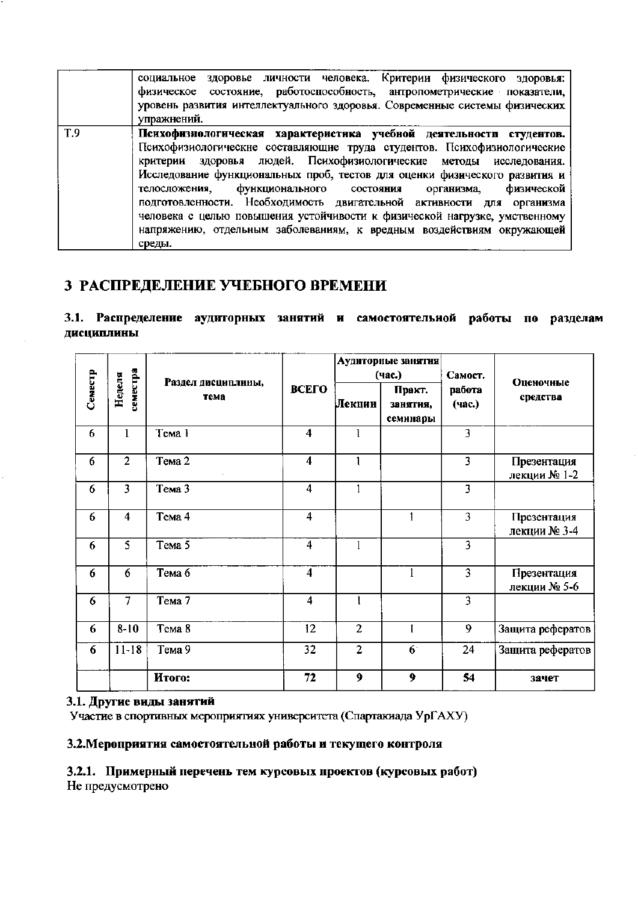|     | социальное здоровье личности человека. Критерии физического здоровья:<br>физическое состояние, работоспособность, антропометрические показатели,<br>уровень развития интеллектуального здоровья. Современные системы физических<br>упражнений.                                                                                                                                                                                                                                                                                                                                                                         |
|-----|------------------------------------------------------------------------------------------------------------------------------------------------------------------------------------------------------------------------------------------------------------------------------------------------------------------------------------------------------------------------------------------------------------------------------------------------------------------------------------------------------------------------------------------------------------------------------------------------------------------------|
| T.9 | Психофизиологическая характеристика учебной деятельности студентов.<br>Психофизиологические составляющие труда студентов. Психофизиологические<br>критерии здоровья людей. Психофизиологические методы исследования.<br>Исследование функциональных проб, тестов для оценки физического развития и<br>функционального состояния<br>физической<br>телосложения,<br>организма,<br>подготовленности. Необходимость двигательной активности для организма<br>человека с целью повышения устойчивости к физической нагрузке, умственному<br>напряжению, отдельным заболеваниям, к вредным воздействиям окружающей<br>среды. |

## 3 РАСПРЕДЕЛЕНИЕ УЧЕБНОГО ВРЕМЕНИ

3.1. Распределение аудиторных занятий и самостоятельной работы по разделам дисциплины

|         |                    |                            |                         |                | Аудиторные занятия<br>(час.) | Самост.                 |                             |
|---------|--------------------|----------------------------|-------------------------|----------------|------------------------------|-------------------------|-----------------------------|
| Семестр | семестра<br>Неделя | Раздел дисциплины,<br>тема | ВСЕГО                   | Лекции         | Практ.<br>занятия,           |                         | Оценочные<br>средства       |
|         |                    |                            |                         |                | семинары                     |                         |                             |
| 6       | $\mathbf 1$        | Тема 1                     | $\overline{\mathbf{4}}$ | $\mathbf{1}$   |                              | 3                       |                             |
| 6       | $\overline{2}$     | Тема 2                     | $\overline{4}$          | $\mathbf{1}$   |                              | 3                       | Презентация<br>лекции № 1-2 |
| 6       | $\overline{3}$     | Тема 3                     | $\overline{4}$          | 1              |                              | $\overline{\mathbf{3}}$ |                             |
| 6       | $\overline{4}$     | Тема 4                     | $\overline{4}$          |                | 1                            | $\overline{\mathbf{3}}$ | Презентация<br>лекции № 3-4 |
| 6       | 5                  | Тема 5                     | 4                       | 1              |                              | 3                       |                             |
| 6       | 6                  | Тема 6                     | $\overline{4}$          |                |                              | $\overline{3}$          | Презентация<br>лекции № 5-6 |
| 6       | $\overline{7}$     | $Tema$ 7                   | 4                       | 1              |                              | $\overline{3}$          |                             |
| 6       | $8 - 10$           | Тема 8                     | 12                      | $\overline{2}$ | 1                            | 9                       | Защита рефератов            |
| 6       | $11 - 18$          | Тема 9                     | 32                      | $\overline{2}$ | 6 <sup>1</sup>               | 24                      | Защита рефератов            |
|         |                    | Итого:                     | 72                      | 9              | 9                            | 54                      | зачет                       |

## 3.1. Другие виды занятий

Участие в спортивных мероприятиях университета (Спартакиада УрГАХУ)

### 3.2. Мероприятия самостоятельной работы и текущего контроля

3.2.1. Примерный перечень тем курсовых проектов (курсовых работ)

Не предусмотрено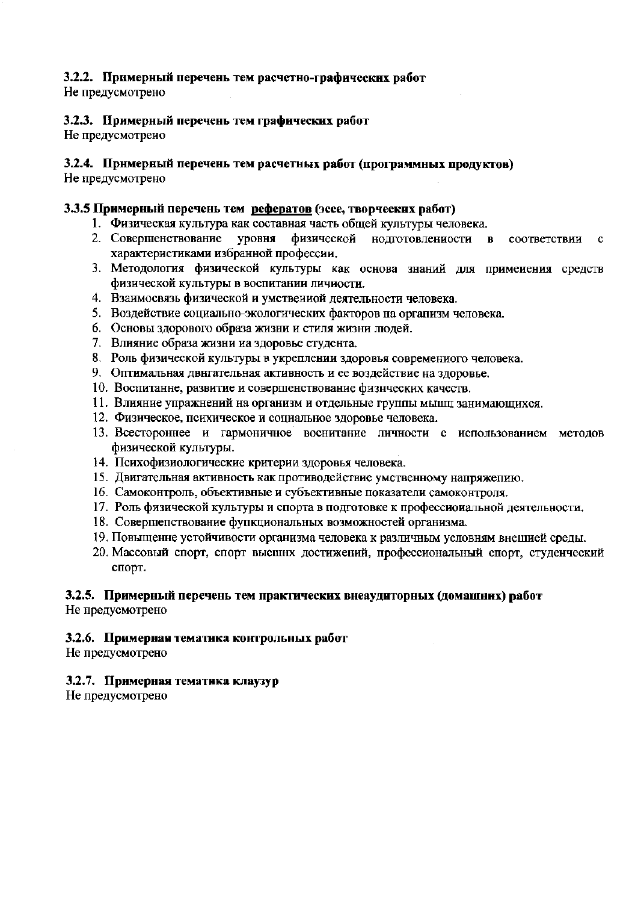## 3.2.2. Примерный перечень тем расчетно-графических работ

Не предусмотрено

## 3.2.3. Примерный перечень тем графических работ

Не предусмотрено

## 3.2.4. Примерный перечень тем расчетных работ (программных продуктов)

Не предусмотрено

## 3.3.5 Примерный перечень тем рефератов (эссе, творческих работ)

- 1. Физическая культура как составная часть общей культуры человека.
- 2. Совершенствование уровня физической нодготовлениости в соответствии  $\mathbf c$ характеристиками избранной профессии.
- 3. Методология физической культуры как основа знаний для примеиения средств физической культуры в воспитании личиости.
- 4. Взаимосвязь физической и умствениой деятельности человека.
- 5. Воздействие социально-экологических факторов на организм человека.
- 6. Основы здорового образа жизни и стиля жизни людей.
- 7. Влияние образа жизни иа здоровье студента.
- 8. Роль физической культуры в укреплении здоровья современиого человека.
- 9. Оптимальная двигательная активность и ее воздействие на здоровье.
- 10. Воспитанне, развитие и совершенствование физических качеств.
- 11. Влияние упражнений на организм и отдельные группы мышц занимающихся.
- 12. Физическое, психическое и социальное здоровье человека.
- 13. Всестороннее и гармоничное воснитание личности с использованием методов физической культуры.
- 14. Психофизиологические критерии здоровья человека.
- 15. Двигательная активность как противодействие умственному напряжепию.
- 16. Самоконтроль, объективные и субъективные показатели самоконтроля.
- 17. Роль физической культуры и спорта в подготовке к профессиоиальной деятельности.
- 18. Совершепствование фупкциональных возможностей организма.
- 19. Повыщенне устойчивости организма человека к различным условням внешией среды.
- 20. Массовый спорт, спорт высшнх достижений, профессиональный спорт, студенческий спорт.

## 3.2.5. Примерный перечень тем практических внеаудиторных (домашних) работ

Не предусмотрено

## 3.2.6. Примерная тематика контрольных работ

Не предусмотрено

## 3.2.7. Примерная тематика клаузур

Не предусмотрено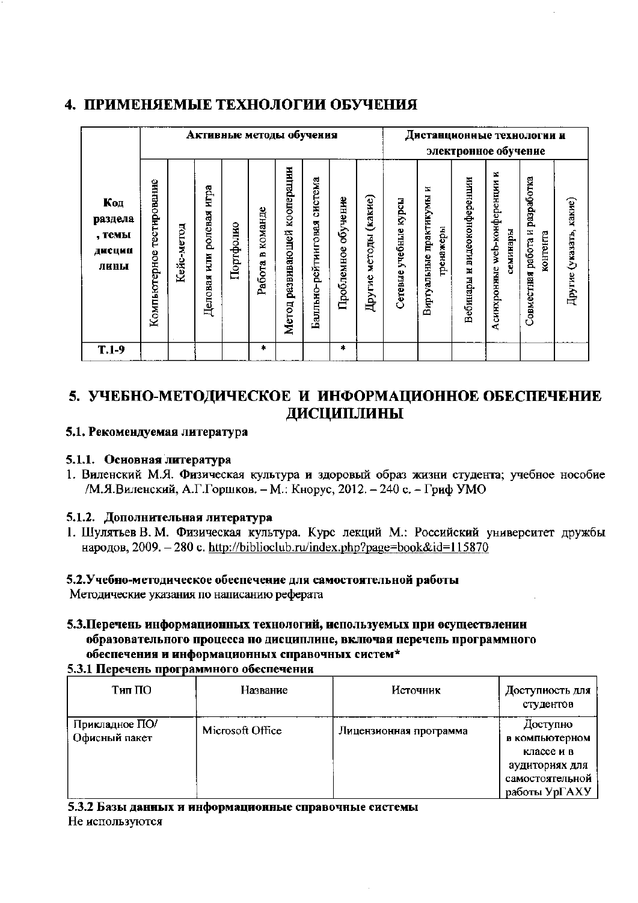## 4. ПРИМЕНЯЕМЫЕ ТЕХНОЛОГИИ ОБУЧЕНИЯ

|                                            |                              | Активные методы обучения |                                           |           |                        |                                    |                                |                        |                          |                          | Дистанционные технологии и<br>электронное обучение |                                |                                              |                                            |                         |
|--------------------------------------------|------------------------------|--------------------------|-------------------------------------------|-----------|------------------------|------------------------------------|--------------------------------|------------------------|--------------------------|--------------------------|----------------------------------------------------|--------------------------------|----------------------------------------------|--------------------------------------------|-------------------------|
| Код<br>раздела<br>, темы<br>ДИСЦИИ<br>лины | тестирование<br>Компьютерное | Кейс-метод               | игра<br>ролевая<br><b>NICK</b><br>Деловая | Портфолко | команде<br>ø<br>Работа | кооперации<br>развивающей<br>Метод | система<br>Балльно-рейтинговая | обучение<br>Проблемное | методы (какне)<br>Другие | курсы<br>Сетевые учебные | ×<br>Виртуальные практикумы<br>гренажеры           | и видеоконференции<br>Вебинары | web-конференции и<br>семинары<br>Асинхронные | Совместная работа и разработка<br>контента | Другие (указать, какие) |
| $T.1-9$                                    |                              |                          |                                           |           | *                      |                                    |                                | *                      |                          |                          |                                                    |                                |                                              |                                            |                         |

# 5. УЧЕБНО-МЕТОДИЧЕСКОЕ И ИНФОРМАЦИОННОЕ ОБЕСПЕЧЕНИЕ ДИСЦИПЛИНЫ

## 5.1. Рекомендуемая литература

## 5.1.1. Основная литература

1. Виленский М.Я. Физическая культура и здоровый образ жизни студента; учебное нособие /М.Я.Виленский, А.Г.Горшков. - М.: Кнорус, 2012. - 240 с. - Гриф УМО

## 5.1.2. Дополнительная литература

1. Шулятьев В. М. Физическая культура. Курс лекций М.: Российский университет дружбы народов, 2009. - 280 с. http://biblioclub.ru/index.php?page=book&id=115870

## 5.2. Учебно-методическое обеспечение для самостоятельной работы

Методические указания по написанию реферата

5.3. Перечень информационных технологий, используемых при осуществлении образовательного процесса по дисциплине, включая перечень программного обеспечения и информационных справочных систем\*

## 5.3.1 Перечень программного обеспечения

| Тип ПО                          | Название         | Источник               | Доступность для<br>студентов                                                                   |
|---------------------------------|------------------|------------------------|------------------------------------------------------------------------------------------------|
| Прикладное ПО/<br>Офисный пакет | Microsoft Office | Лицензионная программа | Доступно<br>в компьютерном<br>классе и в<br>аудиториях для<br>самостоятельной<br>работы УрГАХУ |

5.3.2 Базы данных и информационные справочные системы Не используются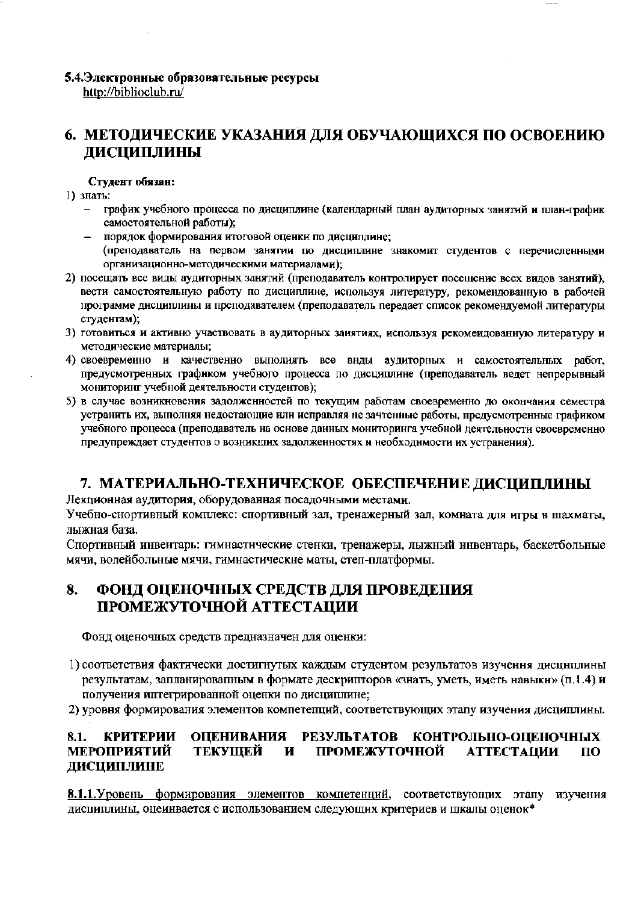# 5.4. Электронные образовательные ресурсы

http://biblioclub.ru/

# 6. МЕТОДИЧЕСКИЕ УКАЗАНИЯ ДЛЯ ОБУЧАЮЩИХСЯ ПО ОСВОЕНИЮ ДИСЦИПЛИНЫ

### Студент обязан:

- 1) знать:
	- график учебного процесса по дисциплине (календарный план аудиторных занятий и план-график самостоятельной работы);
	- порядок формирования итоговой оценки по дисциплине; (преподаватель на первом занятии по дисциплине знакомит студентов с перечисленными организационно-методическими материалами);
- 2) посещать все виды аудиторных занятий (преподаватель контролирует посещение всех видов занятий), вести самостоятельную работу по дисциплине, используя литературу, рекомендованную в рабочей программе дисциплины и преподавателем (преподаватель передает список рекомендуемой литературы студентам);
- 3) готовиться и активно участвовать в аудиторных занятиях, используя рекомеидованную литературу и методические материалы;
- 4) своевременно и качественно выполиять все внды аудиторных и самостоятельных работ, предусмотренных графиком учебного процесса по дисциплине (преподаватель ведет непрерывный мониторинг учебной деятельности студентов);
- 5) в случае возникновения задолженностей по текущим работам своевременно до окончания семестра устранить их, выполняя недостающие или исправляя не зачтенные работы, предусмотренные графиком учебного процесса (преподаватель на основе данных мониторинга учебной деятельности своевременно предупреждает студентов о возникших задолженностях и необходимости их устранения).

## 7. МАТЕРИАЛЬНО-ТЕХНИЧЕСКОЕ ОБЕСПЕЧЕНИЕ ДИСЦИПЛИНЫ

Лекционная аудитория, оборудованная посадочными местами.

Учебно-снортивный комплекс: спортивный зал, тренажерный зал, комната для игры в шахматы, лыжная база.

Спортивный инвентарь: гимнастические стенки, тренажеры, лыжный инвентарь, баскетбольные мячи, волейбольные мячи, гимнастические маты, степ-платформы.

#### 8. ФОНД ОЦЕНОЧНЫХ СРЕДСТВ ДЛЯ ПРОВЕДЕНИЯ ПРОМЕЖУТОЧНОЙ АТТЕСТАЦИИ

Фонд оценочных средств предназначен для оценки:

- 1) соответствия фактически достигнутых каждым студентом результатов изучення дисциплины результатам, запланировапным в формате дескрипторов «знать, уметь, иметь навыкн» (п.1.4) и получения иптегрированной оценки по дисциплине;
- 2) уровня формирования элементов компетепций, соответствующих этапу изучения дисциплины.

#### **ОЦЕНИВАНИЯ** РЕЗУЛЬТАТОВ КОНТРОЛЬНО-ОЦЕНОЧНЫХ 8.1. **КРИТЕРИИ ТЕКУЩЕЙ** ПРОМЕЖУТОЧНОЙ **МЕРОПРИЯТИЙ** И **АТТЕСТАЦИИ**  $<sub>10</sub>$ </sub> ДИСЦИПЛИНЕ

8.1.1. Уровень формирования элементов компетенций, соответствующих этапу изучения дисциплины, оцеинвается с использованием следующих критериев и шкалы оценок\*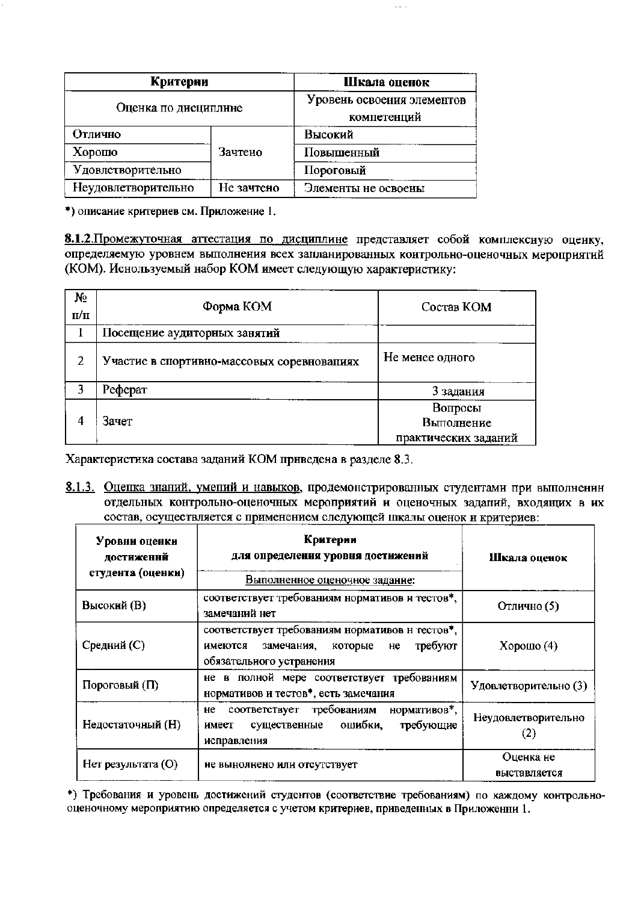| Критерии             |                                           | Шкала оценок        |
|----------------------|-------------------------------------------|---------------------|
| Оценка по дисциплине | Уровень освоения элементов<br>компетенций |                     |
| Отлично              |                                           | Высокий             |
| Хорошо               | Зачтено                                   | Повышенный          |
| Удовлетворительно    |                                           | Пороговый           |
| Неудовлетворительно  | Не зачтено                                | Элементы не освоены |

\*) описание критериев см. Приложение 1.

8.1.2. Промежуточная аттестация по дисциплине представляет собой комплексную оценку, определяемую уровнем выполнения всех запланированных контрольно-оценочных мероприятий (КОМ). Иснользуемый набор КОМ имеет следующую характеристику:

 $\sim$ 

| Nº<br>$\Pi/\Pi$ | Форма КОМ                                  | Состав КОМ                                    |
|-----------------|--------------------------------------------|-----------------------------------------------|
|                 | Посещение аудиторных занятий               |                                               |
| 2               | Участие в спортивно-массовых соревновапиях | Не менее одного                               |
| 3               | Реферат                                    | 3 задания                                     |
| 4               | Зачет                                      | Вопросы<br>Выполнение<br>практических заданий |

Характеристика состава заданий КОМ приведена в разделе 8.3.

8.1.3. Оцепка знаний, умений и навыков, продемонстрированных студентами при выполненин отдельных контрольно-оценочных мероприятий и оценочных задапий, входящих в их состав, осуществляется с применением следующей шкалы оценок и критериев:

| Уровни оценки<br>достиженнй<br>студента (оценки) | Критерии<br>для определения уровня достижений                                                                                    | Шкала оценок              |  |  |
|--------------------------------------------------|----------------------------------------------------------------------------------------------------------------------------------|---------------------------|--|--|
|                                                  | Выполненное оценочное задание:                                                                                                   |                           |  |  |
| Высокий (В)                                      | соответствует требованиям нормативов и тестов*,<br>замечаний нет                                                                 | Отлично (5)               |  |  |
| Средний (С)                                      | соответствует требованиям нормативов н тестов*,<br>требуют<br>имеются<br>замечания,<br>которые<br>He<br>обязательного устранения | $X$ орошо $(4)$           |  |  |
| Пороговый (П)                                    | не в полной мере соответствует требованиям<br>нормативов и тестов*, есть замечания                                               | Удовлетворительно (3)     |  |  |
| Недостаточный (Н)                                | нормативов*,<br>соответствует требованиям<br>не<br>ошибки,<br>требующие<br>существенные<br>имеет<br>исправления                  | Неудовлетворительно       |  |  |
| Нет результата (O)                               | не вынолнено или отсутствует                                                                                                     | Оценка не<br>выставляется |  |  |

\*) Требования и уровень достижений студентов (соответствие требованиям) по каждому контрольнооценочному мероприятию определяется с учетом критериев, приведенных в Приложенни 1.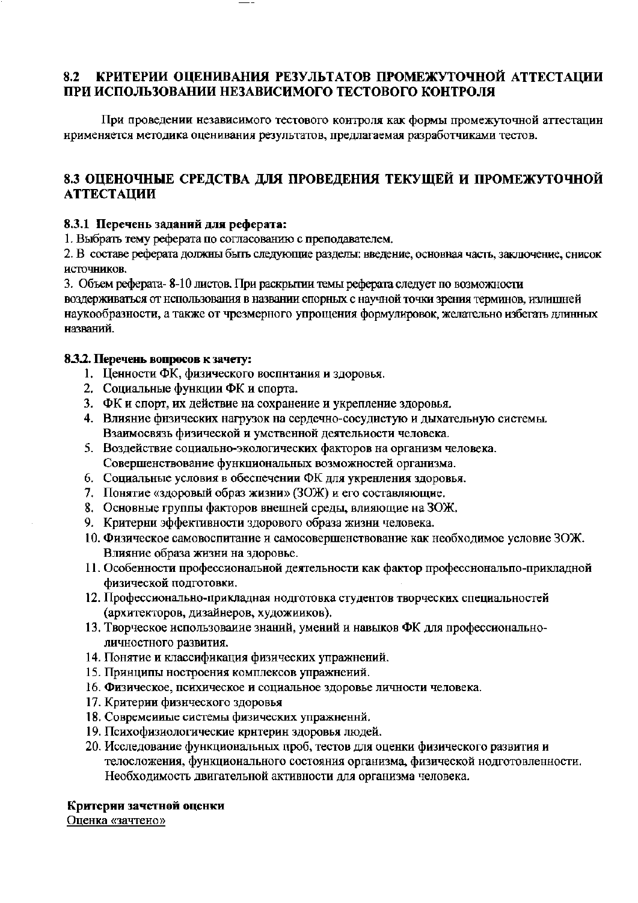#### 8.2 КРИТЕРИИ ОЦЕНИВАНИЯ РЕЗУЛЬТАТОВ ПРОМЕЖУТОЧНОЙ АТТЕСТАЦИИ ПРИ ИСПОЛЬЗОВАНИИ НЕЗАВИСИМОГО ТЕСТОВОГО КОНТРОЛЯ

При проведении независимого тестового контроля как формы промежуточной аттестацин нрименяется методика оценивания результатов, предлагаемая разработчиками тестов.

## 8.3 ОЦЕНОЧНЫЕ СРЕДСТВА ДЛЯ ПРОВЕДЕНИЯ ТЕКУЩЕЙ И ПРОМЕЖУТОЧНОЙ **АТТЕСТАЦИИ**

## 8.3.1 Перечень заданий для реферата:

1. Выбрать тему реферата по согласованию с преподавателем.

2. В составе реферата должны быть следующие разделы: введение, основная часть, заключение, снисок источников.

3. Объем реферата-8-10 листов. При раскрытии темы реферата следует по возможности воздерживаться от использования в названии спорных с научной точки зрения терминов, излишней

наукообразности, а также от чрезмерного упрощения формулировок, желательно избегать длинных названий.

## 8.3.2. Перечень вопросов к зачету:

- 1. Ценности ФК, физического воспнтания и здоровья.
- 2. Социальные функции ФК и спорта.
- 3. ФК и спорт, их действие на сохранение и укрепление здоровья.
- 4. Влияние физических нагрузок на сердечно-сосудистую и дыхательную системы. Взаимосвязь физической и умственной деятельности человека.
- 5. Воздействие социально-экологических факторов на организм человека. Совершенствование функциональных возможностей организма.
- 6. Социальные условия в обеспечении ФК для укренления здоровья.
- 7. Понятие «здоровый образ жизни» (ЗОЖ) и его составляющие.
- 8. Основные группы факторов внешней среды, влияющие на ЗОЖ.
- 9. Критерни эффективности здорового образа жизни человека.
- 10. Физическое самовоспитание и самосовершенствование как необходимое условие ЗОЖ. Влияние образа жизни на здоровье.
- 11. Особенности профессиональной деятельности как фактор профессиональпо-прикладной физической подготовки.
- 12. Профессионально-прикладная нодготовка студентов творческих специальностей (архитекторов, дизайнеров, художииков).
- 13. Творческое использоваиие знаний, умений и навыков ФК для профессиональноличностного развития.
- 14. Понятие и классификация физических упражнений.
- 15. Принципы ностроения комплексов упражнений.
- 16. Физическое, психическое и социальное здоровье личности человека.
- 17. Критерии физнческого здоровья
- 18. Современные системы физических упражнений.
- 19. Психофизиологические критерин здоровья людей.
- 20. Исследование функциональных проб, тестов для оценки физического развития и телосложения, функционального состояния организма, физической нодготовленности. Необходимость двигательной активности для организма человека.

## Критерии зачетной оценки

Оценка «зачтено»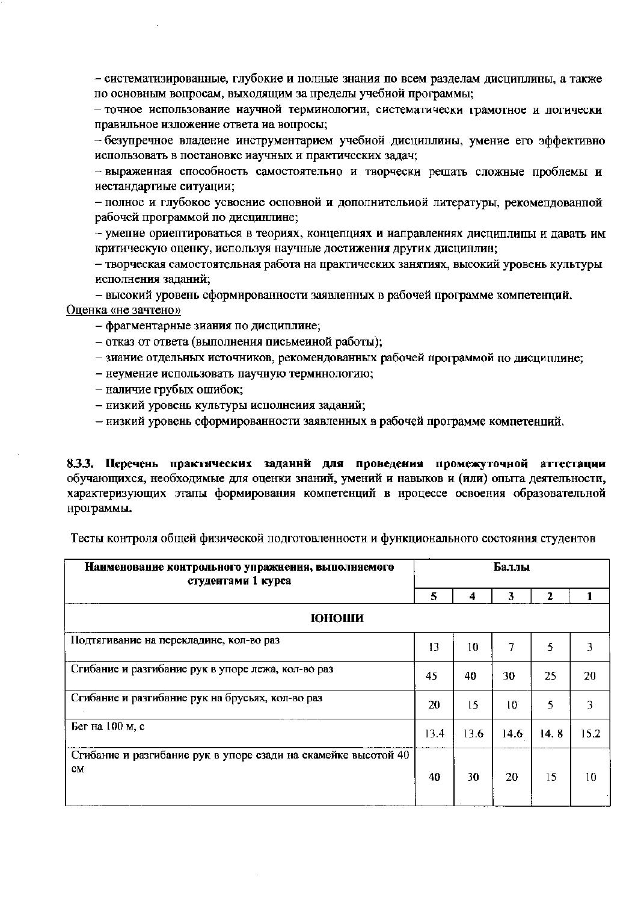- систематизированные, глубокие и полные знания по всем разделам дисциплины, а также по основным вопросам, выходящим за пределы учебиой программы;

- точное использование научной терминологии, систематически грамотное и логически правильное изложение ответа иа вопросы;

- безупречное владение инструментарием учебиой дисциплины, умение его эффективно использовать в постановке иаучных и практических задач;

- выраженная способность самостоятельно и творчески решать сложные проблемы и иестандартиые ситуации;

- полное и глубокое усвоение осповной и дополнительной литературы, рекомендованной рабочей программой по дисциплине;

- умение ориентироваться в теориях, концепциях и иаправлениях дисциплины и давать им критическую оценку, используя научные достижения других дисциплин;

- творческая самостоятельная работа на практических занятиях, высокий уровень культуры исполнения заданий;

- высокий уровень сформированности заявленных в рабочей программе компетенций. Оценка «не зачтено»

- фрагментарные зиания по дисциплине;

- отказ от ответа (выполнения письменной работы);
- зиание отдельных источников, рекомендованных рабочей программой по диспиплине;
- неумение использовать паучную терминологию;
- наличие грубых ошибок;
- низкий уровень культуры исполнения заданий;
- низкий уровень сформированности заявленных в рабочей программе компетенций.

8.3.3. Перечень практических заданни для проведения промежуточной аттестации обучающихся, необходимые для оценки знаний, умений и навыков и (или) опыта деятельности, характеризующих этапы формирования компетенций в нроцессе освоения образовательной нрограммы.

| Наименование контрольного упражнения, выполняемого<br>студентами 1 курса |      | Баллы |      |      |      |  |  |  |
|--------------------------------------------------------------------------|------|-------|------|------|------|--|--|--|
|                                                                          | 5    | 4     | 3    | 2    |      |  |  |  |
| <b>ЮНОШИ</b>                                                             |      |       |      |      |      |  |  |  |
| Подтягивание на перекладине, кол-во раз                                  | 13   | 10    | 7    | 5    | 3    |  |  |  |
| Сгибание и разгибание рук в упоре лежа, кол-во раз                       | 45   | 40    | 30   | 25   | 20   |  |  |  |
| Сгибание и разгибание рук на брусьях, кол-во раз                         | 20   | 15    | 10   | 5    | 3    |  |  |  |
| Бег на 100 м, с                                                          | 13.4 | 13.6  | 14.6 | 14.8 | 15.2 |  |  |  |
| Сгибание и разгибание рук в упоре сзади на скамейке высотой 40<br>CM     | 40   | 30    | 20   | 15   | 10   |  |  |  |

Тесты контроля общей физической подготовленности и функционального состояния студентов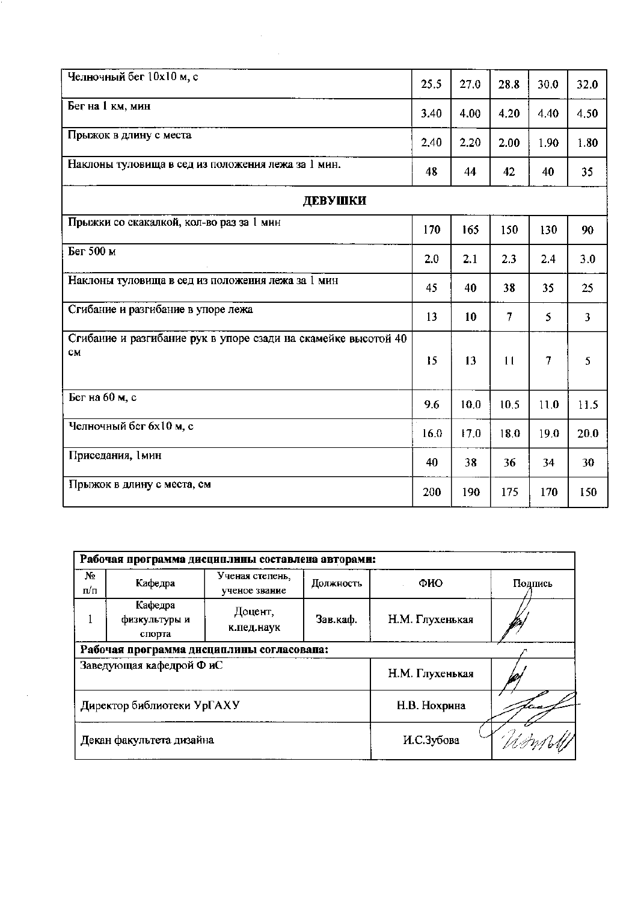| Челночный бег 10х10 м, с                                             | 25.5 | 27.0 | 28.8           | 30.0 | 32.0 |
|----------------------------------------------------------------------|------|------|----------------|------|------|
| Бег на 1 км, мин                                                     | 3.40 | 4.00 | 4.20           | 4.40 | 4.50 |
| Прыжок в длину с места                                               | 2,40 | 2.20 | 2.00           | 1.90 | 1.80 |
| Наклоны туловища в сед из положения лежа за 1 мин.                   | 48   | 44   | 42             | 40   | 35   |
| ДЕВУШКИ                                                              |      |      |                |      |      |
| Прыжки со скакалкой, кол-во раз за 1 мин                             | 170  | 165  | 150            | 130  | 90   |
| Бег 500 м                                                            | 2.0  | 2.1  | 2.3            | 2.4  | 3.0  |
| Наклоны туловища в сед из положения лежа за 1 мин                    | 45   | 40   | 38             | 35   | 25   |
| Сгибание и разгибание в упоре лежа                                   | 13   | 10   | $\overline{7}$ | 5    | 3    |
| Сгибание и разгибание рук в упоре сзади на скамейке высотой 40<br>CM | 15   | 13   | 11             | 7    | 5    |
| Бег на 60 м, с                                                       | 9.6  | 10.0 | 10.5           | 11.0 | 11.5 |
| Челночный бег 6х10 м, с                                              | 16.0 | 17.0 | 18.0           | 19.0 | 20.0 |
| Приседания, 1мин                                                     | 40   | 38   | 36             | 34   | 30   |
| Прыжок в длину с места, см                                           | 200  | 190  | 175            | 170  | 150  |

 $\label{eq:2} \begin{split} \mathcal{L}_{\text{max}}(\mathbf{r}) = \mathcal{L}_{\text{max}}(\mathbf{r}) \mathcal{L}_{\text{max}}(\mathbf{r}) \mathcal{L}_{\text{max}}(\mathbf{r}) \mathcal{L}_{\text{max}}(\mathbf{r}) \mathcal{L}_{\text{max}}(\mathbf{r}) \mathcal{L}_{\text{max}}(\mathbf{r}) \mathcal{L}_{\text{max}}(\mathbf{r}) \mathcal{L}_{\text{max}}(\mathbf{r}) \mathcal{L}_{\text{max}}(\mathbf{r}) \mathcal{L}_{\text{max}}(\mathbf{r}) \mathcal{L}_{\text{max}}(\mathbf{r}) \mathcal$ 

| Рабочая программа дисциплины составлена авторами: |                                    |                                  |           |                 |         |  |  |  |  |
|---------------------------------------------------|------------------------------------|----------------------------------|-----------|-----------------|---------|--|--|--|--|
| N2<br>п/п                                         | Кафедра                            | Ученая степень,<br>ученое звание | Должность | ФИО             | Подпись |  |  |  |  |
|                                                   | Кафедра<br>физкультуры и<br>спорта | Доцент,<br>к.пед.наук            | Зав.каф.  | Н.М. Глухенькая |         |  |  |  |  |
| Рабочая программа дисциплины согласовапа:         |                                    |                                  |           |                 |         |  |  |  |  |
| Заведующая кафедрой ФиС                           |                                    |                                  |           | Н.М. Глухенькая |         |  |  |  |  |
| Директор библиотеки УрГАХУ                        |                                    |                                  |           | Н.В. Нохрина    |         |  |  |  |  |
| Декан факультета дизайна                          |                                    |                                  |           | И.С.Зубова      |         |  |  |  |  |

 $\mathcal{A}^{\mathcal{A}}$  and